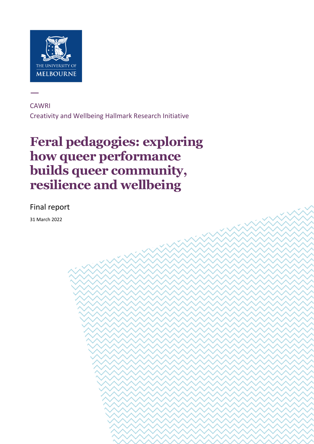

—

**CAWRI** Creativity and Wellbeing Hallmark Research Initiative

# **Feral pedagogies: exploring how queer performance builds queer community, resilience and wellbeing**

**CARRI | FERAL pedagogies: exploring how queer performance building how queer performance building the silicon** 

and wellbeing Page 1 of 8

### Final report

31 March 2022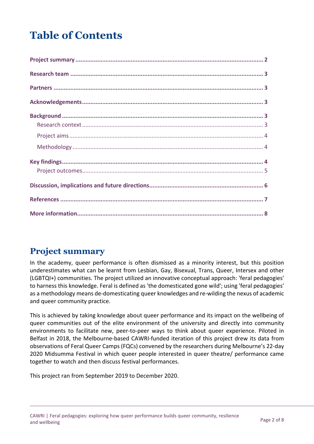# **Table of Contents**

# <span id="page-1-0"></span>**Project summary**

In the academy, queer performance is often dismissed as a minority interest, but this position underestimates what can be learnt from Lesbian, Gay, Bisexual, Trans, Queer, Intersex and other (LGBTQI+) communities. The project utilized an innovative conceptual approach: 'feral pedagogies' to harness this knowledge. Feral is defined as 'the domesticated gone wild'; using 'feral pedagogies' as a methodology means de-domesticating queer knowledges and re-wilding the nexus of academic and queer community practice.

This is achieved by taking knowledge about queer performance and its impact on the wellbeing of queer communities out of the elite environment of the university and directly into community environments to facilitate new, peer-to-peer ways to think about queer experience. Piloted in Belfast in 2018, the Melbourne-based CAWRI-funded iteration of this project drew its data from observations of Feral Queer Camps (FQCs) convened by the researchers during Melbourne's 22-day 2020 Midsumma Festival in which queer people interested in queer theatre/ performance came together to watch and then discuss festival performances.

This project ran from September 2019 to December 2020.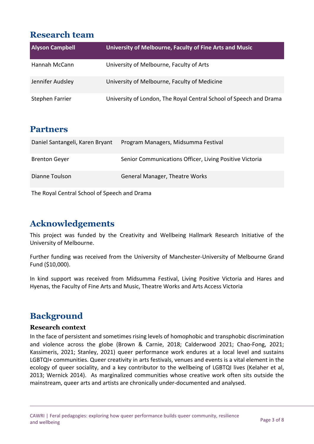# <span id="page-2-0"></span>**Research team**

| <b>Alyson Campbell</b> | University of Melbourne, Faculty of Fine Arts and Music            |
|------------------------|--------------------------------------------------------------------|
| Hannah McCann          | University of Melbourne, Faculty of Arts                           |
| Jennifer Audsley       | University of Melbourne, Faculty of Medicine                       |
| Stephen Farrier        | University of London, The Royal Central School of Speech and Drama |

## <span id="page-2-1"></span>**Partners**

| Daniel Santangeli, Karen Bryant | Program Managers, Midsumma Festival                     |
|---------------------------------|---------------------------------------------------------|
| <b>Brenton Geyer</b>            | Senior Communications Officer, Living Positive Victoria |
| Dianne Toulson                  | <b>General Manager, Theatre Works</b>                   |

The Royal Central School of Speech and Drama

# <span id="page-2-2"></span>**Acknowledgements**

This project was funded by the Creativity and Wellbeing Hallmark Research Initiative of the University of Melbourne.

Further funding was received from the University of Manchester-University of Melbourne Grand Fund (\$10,000).

In kind support was received from Midsumma Festival, Living Positive Victoria and Hares and Hyenas, the Faculty of Fine Arts and Music, Theatre Works and Arts Access Victoria

# <span id="page-2-3"></span>**Background**

#### <span id="page-2-4"></span>**Research context**

In the face of persistent and sometimes rising levels of homophobic and transphobic discrimination and violence across the globe (Brown & Carnie, 2018; Calderwood 2021; Chao-Fong, 2021; Kassimeris, 2021; Stanley, 2021) queer performance work endures at a local level and sustains LGBTQI+ communities. Queer creativity in arts festivals, venues and events is a vital element in the ecology of queer sociality, and a key contributor to the wellbeing of LGBTQI lives (Kelaher et al, 2013; Wernick 2014). As marginalized communities whose creative work often sits outside the mainstream, queer arts and artists are chronically under-documented and analysed.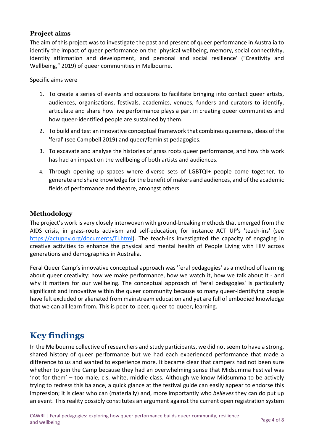#### <span id="page-3-0"></span>**Project aims**

The aim of this project was to investigate the past and present of queer performance in Australia to identify the impact of queer performance on the 'physical wellbeing, memory, social connectivity, identity affirmation and development, and personal and social resilience' ("Creativity and Wellbeing," 2019) of queer communities in Melbourne.

#### Specific aims were

- 1. To create a series of events and occasions to facilitate bringing into contact queer artists, audiences, organisations, festivals, academics, venues, funders and curators to identify, articulate and share how live performance plays a part in creating queer communities and how queer-identified people are sustained by them.
- 2. To build and test an innovative conceptual framework that combines queerness, ideas of the 'feral' (see Campbell 2019) and queer/feminist pedagogies.
- 3. To excavate and analyse the histories of grass roots queer performance, and how this work has had an impact on the wellbeing of both artists and audiences.
- 4. Through opening up spaces where diverse sets of LGBTQI+ people come together, to generate and share knowledge for the benefit of makers and audiences, and of the academic fields of performance and theatre, amongst others.

#### <span id="page-3-1"></span>**Methodology**

The project's work is very closely interwoven with ground-breaking methods that emerged from the AIDS crisis, in grass-roots activism and self-education, for instance ACT UP's 'teach-ins' (see [https://actupny.org/documents/TI.html\)](https://actupny.org/documents/TI.html). The teach-ins investigated the capacity of engaging in creative activities to enhance the physical and mental health of People Living with HIV across generations and demographics in Australia.

Feral Queer Camp's innovative conceptual approach was 'feral pedagogies' as a method of learning about queer creativity: how we make performance, how we watch it, how we talk about it - and why it matters for our wellbeing. The conceptual approach of 'feral pedagogies' is particularly significant and innovative within the queer community because so many queer-identifying people have felt excluded or alienated from mainstream education and yet are full of embodied knowledge that we can all learn from. This is peer-to-peer, queer-to-queer, learning.

# <span id="page-3-2"></span>**Key findings**

In the Melbourne collective of researchers and study participants, we did not seem to have a strong, shared history of queer performance but we had each experienced performance that made a difference to us and wanted to experience more. It became clear that campers had not been sure whether to join the Camp because they had an overwhelming sense that Midsumma Festival was 'not for them' – too male, cis, white, middle-class. Although we know Midsumma to be actively trying to redress this balance, a quick glance at the festival guide can easily appear to endorse this impression; it is clear who can (materially) and, more importantly who *believes* they can do put up an event. This reality possibly constitutes an argument against the current open registration system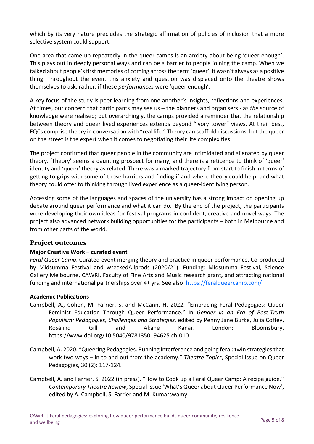which by its very nature precludes the strategic affirmation of policies of inclusion that a more selective system could support.

One area that came up repeatedly in the queer camps is an anxiety about being 'queer enough'. This plays out in deeply personal ways and can be a barrier to people joining the camp. When we talked about people's first memories of coming across the term 'queer', it wasn't always as a positive thing. Throughout the event this anxiety and question was displaced onto the theatre shows themselves to ask, rather, if these *performances* were 'queer enough'.

A key focus of the study is peer learning from one another's insights, reflections and experiences. At times, our concern that participants may see us – the planners and organisers - as *the* source of knowledge were realised; but overarchingly, the camps provided a reminder that the relationship between theory and queer lived experiences extends beyond "ivory tower" views. At their best, FQCs comprise theory in conversation with "real life." Theory can scaffold discussions, but the queer on the street is the expert when it comes to negotiating their life complexities.

The project confirmed that queer people in the community are intimidated and alienated by queer theory. 'Theory' seems a daunting prospect for many, and there is a reticence to think of 'queer' identity and 'queer' theory as related. There was a marked trajectory from start to finish in terms of getting to grips with some of those barriers and finding if and where theory could help, and what theory could offer to thinking through lived experience as a queer-identifying person.

Accessing some of the languages and spaces of the university has a strong impact on opening up debate around queer performance and what it can do. By the end of the project, the participants were developing their own ideas for festival programs in confident, creative and novel ways. The project also advanced network building opportunities for the participants – both in Melbourne and from other parts of the world.

#### <span id="page-4-0"></span>**Project outcomes**

#### **Major Creative Work – curated event**

*Feral Queer Camp*. Curated event merging theory and practice in queer performance. Co-produced by Midsumma Festival and wreckedAllprods (2020/21). Funding: Midsumma Festival, Science Gallery Melbourne, CAWRI, Faculty of Fine Arts and Music research grant**,** and attracting national funding and international partnerships over 4+ yrs. See also <https://feralqueercamp.com/>

#### **Academic Publications**

- Campbell, A., Cohen, M. Farrier, S. and McCann, H. 2022. "Embracing Feral Pedagogies: Queer Feminist Education Through Queer Performance." In *Gender in an Era of Post-Truth Populism: Pedagogies, Challenges and Strategies,* edited by Penny Jane Burke, Julia Coffey, Rosalind Gill and Akane Kanai. London: Bloomsbury. https://www.doi.org/10.5040/9781350194625.ch-010
- Campbell, A. 2020. "Queering Pedagogies. Running interference and going feral: twin strategies that work two ways – in to and out from the academy." *Theatre Topics*, Special Issue on Queer Pedagogies, 30 (2): 117-124.
- Campbell, A. and Farrier, S. 2022 (in press). "How to Cook up a Feral Queer Camp: A recipe guide." *Contemporary Theatre Review*, Special Issue 'What's Queer about Queer Performance Now', edited by A. Campbell, S. Farrier and M. Kumarswamy.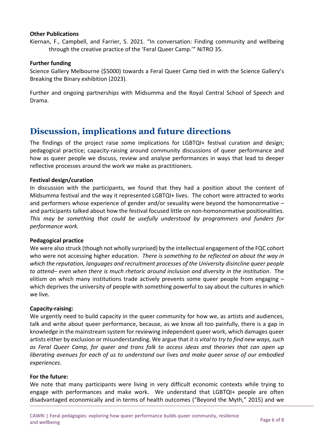#### **Other Publications**

Kiernan, F., Campbell, and Farrier, S. 2021. "In conversation: Finding community and wellbeing through the creative practice of the 'Feral Queer Camp.'" NiTRO 35.

#### **Further funding**

Science Gallery Melbourne (\$5000) towards a Feral Queer Camp tied in with the Science Gallery's Breaking the Binary exhibition (2023).

Further and ongoing partnerships with Midsumma and the Royal Central School of Speech and Drama.

## <span id="page-5-0"></span>**Discussion, implications and future directions**

The findings of the project raise some implications for LGBTQI+ festival curation and design; pedagogical practice; capacity-raising around community discussions of queer performance and how as queer people we discuss, review and analyse performances in ways that lead to deeper reflective processes around the work we make as practitioners.

#### **Festival design/curation**

In discussion with the participants, we found that they had a position about the content of Midsumma festival and the way it represented LGBTQI+ lives. The cohort were attracted to works and performers whose experience of gender and/or sexuality were beyond the homonormative – and participants talked about how the festival focused little on non-homonormative positionalities. *This may be something that could be usefully understood by programmers and funders for performance work.* 

#### **Pedagogical practice**

We were also struck (though not wholly surprised) by the intellectual engagement of the FQC cohort who were not accessing higher education. *There is something to be reflected on about the way in which the reputation, languages and recruitment processes of the University disincline queer people to attend– even when there is much rhetoric around inclusion and diversity in the institution*. The elitism on which many institutions trade actively prevents some queer people from engaging – which deprives the university of people with something powerful to say about the cultures in which we live.

#### **Capacity-raising:**

We urgently need to build capacity in the queer community for how we, as artists and audiences, talk and write about queer performance, because, as we know all too painfully, there is a gap in knowledge in the mainstream system for reviewing independent queer work, which damages queer artists either by exclusion or misunderstanding. We argue that *it is vital to try to find new ways, such as Feral Queer Camp, for queer and trans folk to access ideas and theories that can open up liberating avenues for each of us to understand our lives and make queer sense of our embodied experiences*.

#### **For the future:**

We note that many participants were living in very difficult economic contexts while trying to engage with performances and make work. We understand that LGBTQI+ people are often disadvantaged economically and in terms of health outcomes ("Beyond the Myth," 2015) and we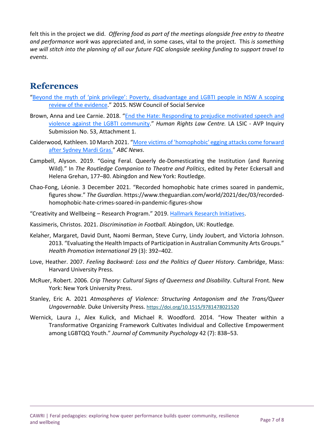felt this in the project we did. *Offering food as part of the meetings alongside free entry to theatre and performance work* was appreciated and, in some cases, vital to the project. This *is something we will stitch into the planning of all our future FQC alongside seeking funding to support travel to events*.

# <span id="page-6-0"></span>**References**

- ["Beyond the myth of 'pink privilege': Poverty, disadvantage and LGBTI people in NSW A scoping](https://d.docs.live.net/6b62979eb0212962/Documents/CAWRI/Seed%20Reports/.%20https:/www.ncoss.org.au/wp-content/uploads/2015/10/LGBTIPovertyNCOSSLaunch_FINAL.pdf)  [review of the evidence.](https://d.docs.live.net/6b62979eb0212962/Documents/CAWRI/Seed%20Reports/.%20https:/www.ncoss.org.au/wp-content/uploads/2015/10/LGBTIPovertyNCOSSLaunch_FINAL.pdf)" 2015. NSW Council of Social Service
- Brown, Anna and Lee Carnie. 2018. ["End the Hate: Responding to prejudice motivated speech and](https://www.parliament.vic.gov.au/images/stories/committees/lsic-LA/Inquiry_into_Anti-Vilification_Protections_/Submissions/053_attach1_2020.02.03_-_Equity_Australia_Redacted.pdf) [violence against the LGBTI community.](https://www.parliament.vic.gov.au/images/stories/committees/lsic-LA/Inquiry_into_Anti-Vilification_Protections_/Submissions/053_attach1_2020.02.03_-_Equity_Australia_Redacted.pdf)" *Human Rights Law Centre.* LA LSIC - AVP Inquiry Submission No. 53, Attachment 1.
- Calderwood, Kathleen. 10 March 2021. ["More victims of 'homophobic' egging attacks come forward](https://www.abc.net.au/news/2021-03-09/sydney-mardi-gras-more-egging-victims-make-complaints-to-police/13230206)  [after Sydney Mardi Gras."](https://www.abc.net.au/news/2021-03-09/sydney-mardi-gras-more-egging-victims-make-complaints-to-police/13230206) *ABC News*.
- Campbell, Alyson. 2019. "Going Feral. Queerly de-Domesticating the Institution (and Running Wild)." In *The Routledge Companion to Theatre and Politics*, edited by Peter Eckersall and Helena Grehan, 177–80. Abingdon and New York: Routledge.
- Chao-Fong, Léonie. 3 December 2021. "Recorded homophobic hate crimes soared in pandemic, figures show." *The Guardian*. https://www.theguardian.com/world/2021/dec/03/recordedhomophobic-hate-crimes-soared-in-pandemic-figures-show
- "Creativity and Wellbeing Research Program." 2019. [Hallmark Research Initiatives.](https://research.unimelb.edu.au/research-at-melbourne/multidisciplinary-research/hallmark-research-initiatives/creativity-and-wellbeing)
- Kassimeris, Christos. 2021. *Discrimination in Football.* Abingdon, UK: Routledge*.*
- Kelaher, Margaret, David Dunt, Naomi Berman, Steve Curry, Lindy Joubert, and Victoria Johnson. 2013. "Evaluating the Health Impacts of Participation in Australian Community Arts Groups." *Health Promotion International* 29 (3): 392–402.
- Love, Heather. 2007. *Feeling Backward: Loss and the Politics of Queer History*. Cambridge, Mass: Harvard University Press.
- McRuer, Robert. 2006. *Crip Theory: Cultural Signs of Queerness and Disability*. Cultural Front. New York: New York University Press.
- Stanley, Eric A. 2021 *Atmospheres of Violence: Structuring Antagonism and the Trans/Queer Ungovernable.* Duke University Press.<https://doi.org/10.1515/9781478021520>
- Wernick, Laura J., Alex Kulick, and Michael R. Woodford. 2014. "How Theater within a Transformative Organizing Framework Cultivates Individual and Collective Empowerment among LGBTQQ Youth." *Journal of Community Psychology* 42 (7): 838–53.